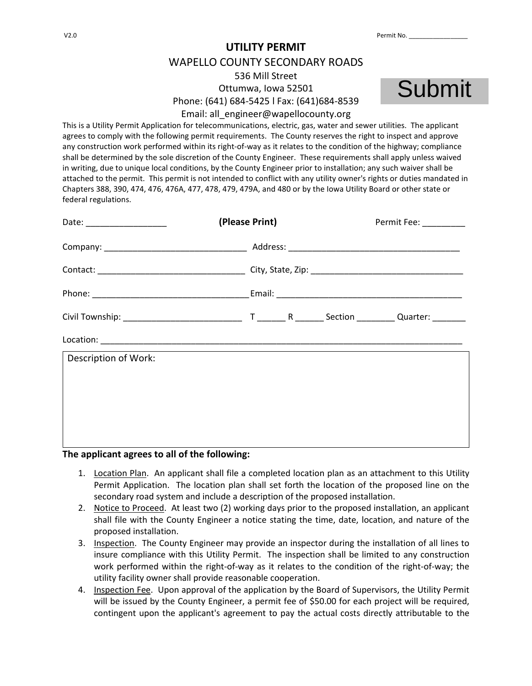## **UTILITY PERMIT**  WAPELLO COUNTY SECONDARY ROADS 536 Mill Street Ottumwa, Iowa 52501 Phone: (641) 684-5425 l Fax: (641)684-8539 Email: all\_engineer@wapellocounty.org



This is a Utility Permit Application for telecommunications, electric, gas, water and sewer utilities. The applicant agrees to comply with the following permit requirements. The County reserves the right to inspect and approve any construction work performed within its right-of-way as it relates to the condition of the highway; compliance shall be determined by the sole discretion of the County Engineer. These requirements shall apply unless waived in writing, due to unique local conditions, by the County Engineer prior to installation; any such waiver shall be attached to the permit. This permit is not intended to conflict with any utility owner's rights or duties mandated in Chapters 388, 390, 474, 476, 476A, 477, 478, 479, 479A, and 480 or by the Iowa Utility Board or other state or federal regulations.

|                      | (Please Print) |  | Permit Fee: _________ |
|----------------------|----------------|--|-----------------------|
|                      |                |  |                       |
|                      |                |  |                       |
|                      |                |  |                       |
|                      |                |  |                       |
|                      |                |  |                       |
| Description of Work: |                |  |                       |
|                      |                |  |                       |
|                      |                |  |                       |
|                      |                |  |                       |

## **The applicant agrees to all of the following:**

- 1. Location Plan. An applicant shall file a completed location plan as an attachment to this Utility Permit Application. The location plan shall set forth the location of the proposed line on the secondary road system and include a description of the proposed installation.
- 2. Notice to Proceed. At least two (2) working days prior to the proposed installation, an applicant shall file with the County Engineer a notice stating the time, date, location, and nature of the proposed installation.
- 3. Inspection. The County Engineer may provide an inspector during the installation of all lines to insure compliance with this Utility Permit. The inspection shall be limited to any construction work performed within the right-of-way as it relates to the condition of the right-of-way; the utility facility owner shall provide reasonable cooperation.
- 4. Inspection Fee. Upon approval of the application by the Board of Supervisors, the Utility Permit will be issued by the County Engineer, a permit fee of \$50.00 for each project will be required, contingent upon the applicant's agreement to pay the actual costs directly attributable to the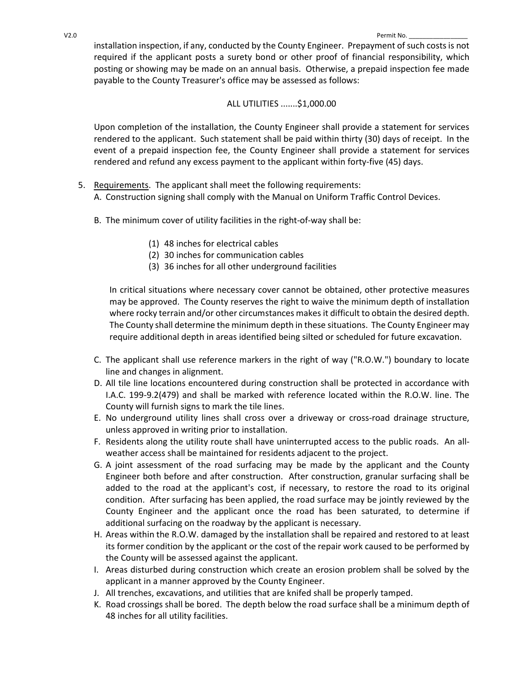installation inspection, if any, conducted by the County Engineer. Prepayment of such costs is not required if the applicant posts a surety bond or other proof of financial responsibility, which posting or showing may be made on an annual basis. Otherwise, a prepaid inspection fee made payable to the County Treasurer's office may be assessed as follows:

## ALL UTILITIES .......\$1,000.00

Upon completion of the installation, the County Engineer shall provide a statement for services rendered to the applicant. Such statement shall be paid within thirty (30) days of receipt. In the event of a prepaid inspection fee, the County Engineer shall provide a statement for services rendered and refund any excess payment to the applicant within forty-five (45) days.

- 5. Requirements. The applicant shall meet the following requirements: A. Construction signing shall comply with the Manual on Uniform Traffic Control Devices.
	- B. The minimum cover of utility facilities in the right-of-way shall be:
		- (1) 48 inches for electrical cables
		- (2) 30 inches for communication cables
		- (3) 36 inches for all other underground facilities

In critical situations where necessary cover cannot be obtained, other protective measures may be approved. The County reserves the right to waive the minimum depth of installation where rocky terrain and/or other circumstances makes it difficult to obtain the desired depth. The County shall determine the minimum depth in these situations. The County Engineer may require additional depth in areas identified being silted or scheduled for future excavation.

- C. The applicant shall use reference markers in the right of way ("R.O.W.") boundary to locate line and changes in alignment.
- D. All tile line locations encountered during construction shall be protected in accordance with I.A.C. 199-9.2(479) and shall be marked with reference located within the R.O.W. line. The County will furnish signs to mark the tile lines.
- E. No underground utility lines shall cross over a driveway or cross-road drainage structure, unless approved in writing prior to installation.
- F. Residents along the utility route shall have uninterrupted access to the public roads. An allweather access shall be maintained for residents adjacent to the project.
- G. A joint assessment of the road surfacing may be made by the applicant and the County Engineer both before and after construction. After construction, granular surfacing shall be added to the road at the applicant's cost, if necessary, to restore the road to its original condition. After surfacing has been applied, the road surface may be jointly reviewed by the County Engineer and the applicant once the road has been saturated, to determine if additional surfacing on the roadway by the applicant is necessary.
- H. Areas within the R.O.W. damaged by the installation shall be repaired and restored to at least its former condition by the applicant or the cost of the repair work caused to be performed by the County will be assessed against the applicant.
- I. Areas disturbed during construction which create an erosion problem shall be solved by the applicant in a manner approved by the County Engineer.
- J. All trenches, excavations, and utilities that are knifed shall be properly tamped.
- K. Road crossings shall be bored. The depth below the road surface shall be a minimum depth of 48 inches for all utility facilities.